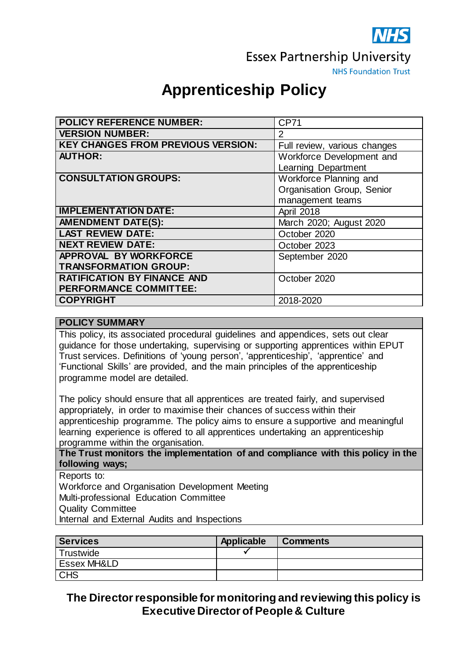

**Essex Partnership University** 

**NHS Foundation Trust** 

# **Apprenticeship Policy**

| <b>POLICY REFERENCE NUMBER:</b>           | <b>CP71</b>                  |
|-------------------------------------------|------------------------------|
| <b>VERSION NUMBER:</b>                    | 2                            |
| <b>KEY CHANGES FROM PREVIOUS VERSION:</b> | Full review, various changes |
| <b>AUTHOR:</b>                            | Workforce Development and    |
|                                           | <b>Learning Department</b>   |
| <b>CONSULTATION GROUPS:</b>               | Workforce Planning and       |
|                                           | Organisation Group, Senior   |
|                                           | management teams             |
| <b>IMPLEMENTATION DATE:</b>               | April 2018                   |
| <b>AMENDMENT DATE(S):</b>                 | March 2020; August 2020      |
| <b>LAST REVIEW DATE:</b>                  | October 2020                 |
| <b>NEXT REVIEW DATE:</b>                  | October 2023                 |
| APPROVAL BY WORKFORCE                     | September 2020               |
| <b>TRANSFORMATION GROUP:</b>              |                              |
| <b>RATIFICATION BY FINANCE AND</b>        | October 2020                 |
| <b>PERFORMANCE COMMITTEE:</b>             |                              |
| <b>COPYRIGHT</b>                          | 2018-2020                    |

## **POLICY SUMMARY**

This policy, its associated procedural guidelines and appendices, sets out clear guidance for those undertaking, supervising or supporting apprentices within EPUT Trust services. Definitions of 'young person', 'apprenticeship', 'apprentice' and 'Functional Skills' are provided, and the main principles of the apprenticeship programme model are detailed.

The policy should ensure that all apprentices are treated fairly, and supervised appropriately, in order to maximise their chances of success within their apprenticeship programme. The policy aims to ensure a supportive and meaningful learning experience is offered to all apprentices undertaking an apprenticeship programme within the organisation.

**The Trust monitors the implementation of and compliance with this policy in the following ways;**

Reports to:

Workforce and Organisation Development Meeting

Multi-professional Education Committee

Quality Committee

Internal and External Audits and Inspections

| <b>Services</b>        | Applicable | <b>Comments</b> |
|------------------------|------------|-----------------|
| <b>Trustwide</b>       |            |                 |
| <b>Essex MH&amp;LD</b> |            |                 |
| <b>CHS</b>             |            |                 |

**The Director responsible for monitoring and reviewing this policy is Executive Director of People & Culture**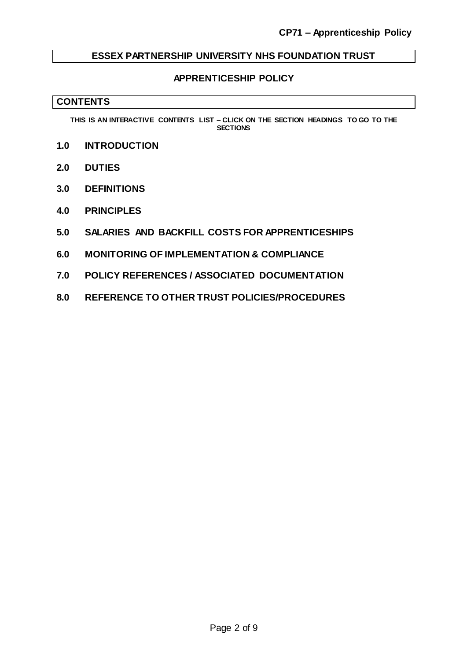## **ESSEX PARTNERSHIP UNIVERSITY NHS FOUNDATION TRUST**

#### **APPRENTICESHIP POLICY**

#### **CONTENTS**

**THIS IS AN INTERACTIVE CONTENTS LIST – CLICK ON THE SECTION HEADINGS TO GO TO THE SECTIONS**

- **1.0 [INTRODUCTION](#page-2-0)**
- **2.0 [DUTIES](#page-2-1)**
- **3.0 [DEFINITIONS](#page-5-0)**
- **4.0 [PRINCIPLES](#page-6-0)**
- **5.0 [SALARIES AND BACKFILL COSTS FOR APPRENTICESHIPS](#page-6-1)**
- **6.0 MONITORING [OF IMPLEMENTATION & COMPLIANCE](#page-7-0)**
- **7.0 [POLICY REFERENCES / ASSOCIATED DOCUMENTATION](#page-7-1)**
- **8.0 [REFERENCE TO OTHER TRUST POLICIES/PROCEDURES](#page-8-0)**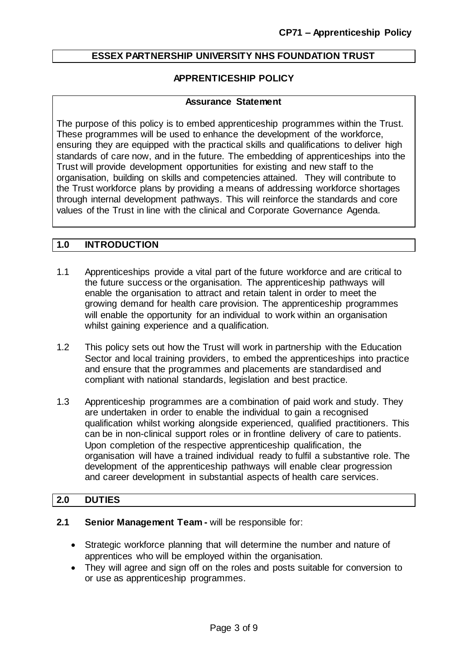# **ESSEX PARTNERSHIP UNIVERSITY NHS FOUNDATION TRUST**

## **APPRENTICESHIP POLICY**

#### **Assurance Statement**

The purpose of this policy is to embed apprenticeship programmes within the Trust. These programmes will be used to enhance the development of the workforce, ensuring they are equipped with the practical skills and qualifications to deliver high standards of care now, and in the future. The embedding of apprenticeships into the Trust will provide development opportunities for existing and new staff to the organisation, building on skills and competencies attained. They will contribute to the Trust workforce plans by providing a means of addressing workforce shortages through internal development pathways. This will reinforce the standards and core values of the Trust in line with the clinical and Corporate Governance Agenda.

## <span id="page-2-0"></span>**1.0 INTRODUCTION**

- 1.1 Apprenticeships provide a vital part of the future workforce and are critical to the future success or the organisation. The apprenticeship pathways will enable the organisation to attract and retain talent in order to meet the growing demand for health care provision. The apprenticeship programmes will enable the opportunity for an individual to work within an organisation whilst gaining experience and a qualification.
- 1.2 This policy sets out how the Trust will work in partnership with the Education Sector and local training providers, to embed the apprenticeships into practice and ensure that the programmes and placements are standardised and compliant with national standards, legislation and best practice.
- 1.3 Apprenticeship programmes are a combination of paid work and study. They are undertaken in order to enable the individual to gain a recognised qualification whilst working alongside experienced, qualified practitioners. This can be in non-clinical support roles or in frontline delivery of care to patients. Upon completion of the respective apprenticeship qualification, the organisation will have a trained individual ready to fulfil a substantive role. The development of the apprenticeship pathways will enable clear progression and career development in substantial aspects of health care services.

## <span id="page-2-1"></span>**2.0 DUTIES**

#### **2.1 Senior Management Team -** will be responsible for:

- Strategic workforce planning that will determine the number and nature of apprentices who will be employed within the organisation.
- They will agree and sign off on the roles and posts suitable for conversion to or use as apprenticeship programmes.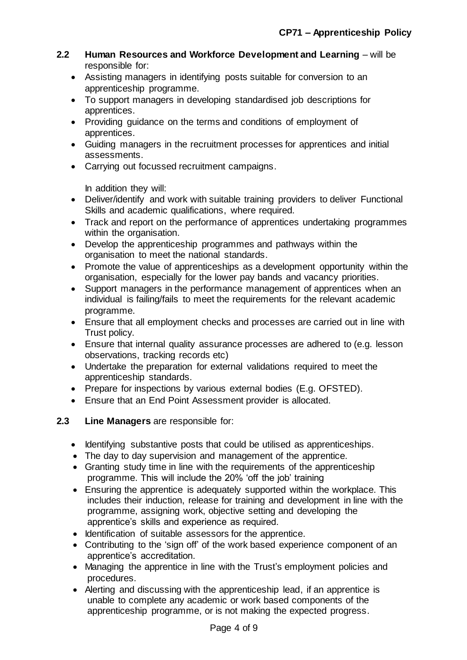- **2.2 Human Resources and Workforce Development and Learning** will be responsible for:
	- Assisting managers in identifying posts suitable for conversion to an apprenticeship programme.
	- To support managers in developing standardised job descriptions for apprentices.
	- Providing guidance on the terms and conditions of employment of apprentices.
	- Guiding managers in the recruitment processes for apprentices and initial assessments.
	- Carrying out focussed recruitment campaigns.

In addition they will:

- Deliver/identify and work with suitable training providers to deliver Functional Skills and academic qualifications, where required.
- Track and report on the performance of apprentices undertaking programmes within the organisation.
- Develop the apprenticeship programmes and pathways within the organisation to meet the national standards.
- Promote the value of apprenticeships as a development opportunity within the organisation, especially for the lower pay bands and vacancy priorities.
- Support managers in the performance management of apprentices when an individual is failing/fails to meet the requirements for the relevant academic programme.
- Ensure that all employment checks and processes are carried out in line with Trust policy.
- Ensure that internal quality assurance processes are adhered to (e.g. lesson observations, tracking records etc)
- Undertake the preparation for external validations required to meet the apprenticeship standards.
- Prepare for inspections by various external bodies (E.g. OFSTED).
- Ensure that an End Point Assessment provider is allocated.

## **2.3 Line Managers** are responsible for:

- Identifying substantive posts that could be utilised as apprenticeships.
- The day to day supervision and management of the apprentice.
- Granting study time in line with the requirements of the apprenticeship programme. This will include the 20% 'off the job' training
- Ensuring the apprentice is adequately supported within the workplace. This includes their induction, release for training and development in line with the programme, assigning work, objective setting and developing the apprentice's skills and experience as required.
- Identification of suitable assessors for the apprentice.
- Contributing to the 'sign off' of the work based experience component of an apprentice's accreditation.
- Managing the apprentice in line with the Trust's employment policies and procedures.
- Alerting and discussing with the apprenticeship lead, if an apprentice is unable to complete any academic or work based components of the apprenticeship programme, or is not making the expected progress.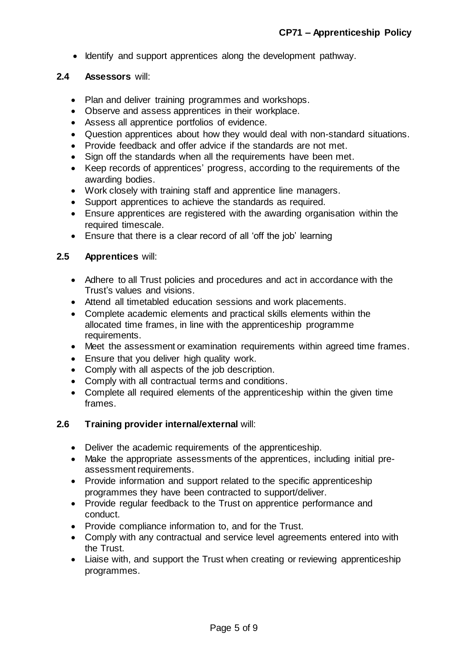• Identify and support apprentices along the development pathway.

#### **2.4 Assessors** will:

- Plan and deliver training programmes and workshops.
- Observe and assess apprentices in their workplace.
- Assess all apprentice portfolios of evidence.
- Question apprentices about how they would deal with non-standard situations.
- Provide feedback and offer advice if the standards are not met.
- Sign off the standards when all the requirements have been met.
- Keep records of apprentices' progress, according to the requirements of the awarding bodies.
- Work closely with training staff and apprentice line managers.
- Support apprentices to achieve the standards as required.
- Ensure apprentices are registered with the awarding organisation within the required timescale.
- Ensure that there is a clear record of all 'off the job' learning

# **2.5 Apprentices** will:

- Adhere to all Trust policies and procedures and act in accordance with the Trust's values and visions.
- Attend all timetabled education sessions and work placements.
- Complete academic elements and practical skills elements within the allocated time frames, in line with the apprenticeship programme requirements.
- Meet the assessment or examination requirements within agreed time frames.
- Ensure that you deliver high quality work.
- Comply with all aspects of the job description.
- Comply with all contractual terms and conditions.
- Complete all required elements of the apprenticeship within the given time frames.

## **2.6 Training provider internal/external** will:

- Deliver the academic requirements of the apprenticeship.
- Make the appropriate assessments of the apprentices, including initial preassessment requirements.
- Provide information and support related to the specific apprenticeship programmes they have been contracted to support/deliver.
- Provide regular feedback to the Trust on apprentice performance and conduct.
- Provide compliance information to, and for the Trust.
- Comply with any contractual and service level agreements entered into with the Trust.
- Liaise with, and support the Trust when creating or reviewing apprenticeship programmes.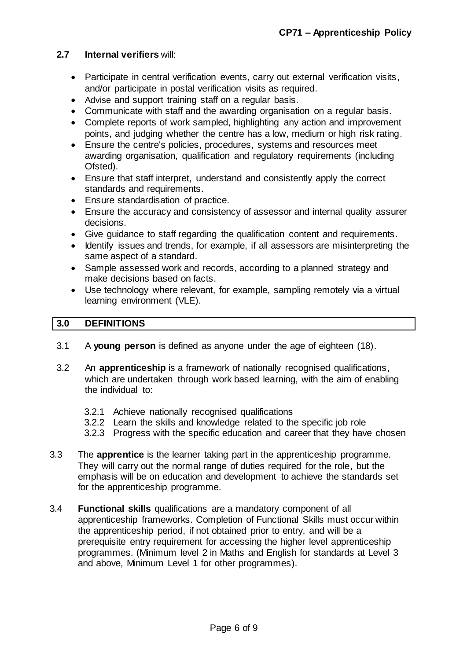#### **2.7 Internal verifiers** will:

- Participate in central verification events, carry out external verification visits, and/or participate in postal verification visits as required.
- Advise and support training staff on a regular basis.
- Communicate with staff and the awarding organisation on a regular basis.
- Complete reports of work sampled, highlighting any action and improvement points, and judging whether the centre has a low, medium or high risk rating.
- Ensure the centre's policies, procedures, systems and resources meet awarding organisation, qualification and regulatory requirements (including Ofsted).
- Ensure that staff interpret, understand and consistently apply the correct standards and requirements.
- Ensure standardisation of practice.
- Ensure the accuracy and consistency of assessor and internal quality assurer decisions.
- Give guidance to staff regarding the qualification content and requirements.
- Identify issues and trends, for example, if all assessors are misinterpreting the same aspect of a standard.
- Sample assessed work and records, according to a planned strategy and make decisions based on facts.
- Use technology where relevant, for example, sampling remotely via a virtual learning environment (VLE).

## <span id="page-5-0"></span>**3.0 DEFINITIONS**

- 3.1 A **young person** is defined as anyone under the age of eighteen (18).
- 3.2 An **apprenticeship** is a framework of nationally recognised qualifications, which are undertaken through work based learning, with the aim of enabling the individual to:
	- 3.2.1 Achieve nationally recognised qualifications
	- 3.2.2 Learn the skills and knowledge related to the specific job role
	- 3.2.3 Progress with the specific education and career that they have chosen
- 3.3 The **apprentice** is the learner taking part in the apprenticeship programme. They will carry out the normal range of duties required for the role, but the emphasis will be on education and development to achieve the standards set for the apprenticeship programme.
- 3.4 **Functional skills** qualifications are a mandatory component of all apprenticeship frameworks. Completion of Functional Skills must occur within the apprenticeship period, if not obtained prior to entry, and will be a prerequisite entry requirement for accessing the higher level apprenticeship programmes. (Minimum level 2 in Maths and English for standards at Level 3 and above, Minimum Level 1 for other programmes).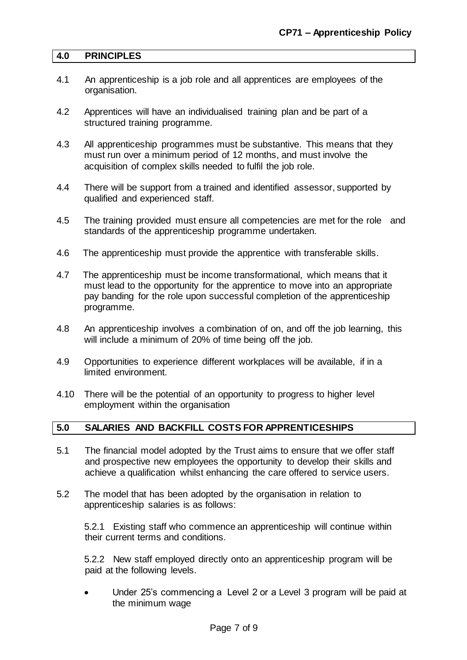#### <span id="page-6-0"></span>**4.0 PRINCIPLES**

- 4.1 An apprenticeship is a job role and all apprentices are employees of the organisation.
- 4.2 Apprentices will have an individualised training plan and be part of a structured training programme.
- 4.3 All apprenticeship programmes must be substantive. This means that they must run over a minimum period of 12 months, and must involve the acquisition of complex skills needed to fulfil the job role.
- 4.4 There will be support from a trained and identified assessor, supported by qualified and experienced staff.
- 4.5 The training provided must ensure all competencies are met for the role and standards of the apprenticeship programme undertaken.
- 4.6 The apprenticeship must provide the apprentice with transferable skills.
- 4.7 The apprenticeship must be income transformational, which means that it must lead to the opportunity for the apprentice to move into an appropriate pay banding for the role upon successful completion of the apprenticeship programme.
- 4.8 An apprenticeship involves a combination of on, and off the job learning, this will include a minimum of 20% of time being off the job.
- 4.9 Opportunities to experience different workplaces will be available, if in a limited environment.
- 4.10 There will be the potential of an opportunity to progress to higher level employment within the organisation

# <span id="page-6-1"></span>**5.0 SALARIES AND BACKFILL COSTS FOR APPRENTICESHIPS**

- 5.1 The financial model adopted by the Trust aims to ensure that we offer staff and prospective new employees the opportunity to develop their skills and achieve a qualification whilst enhancing the care offered to service users.
- 5.2 The model that has been adopted by the organisation in relation to apprenticeship salaries is as follows:

5.2.1 Existing staff who commence an apprenticeship will continue within their current terms and conditions.

5.2.2 New staff employed directly onto an apprenticeship program will be paid at the following levels.

 Under 25's commencing a Level 2 or a Level 3 program will be paid at the minimum wage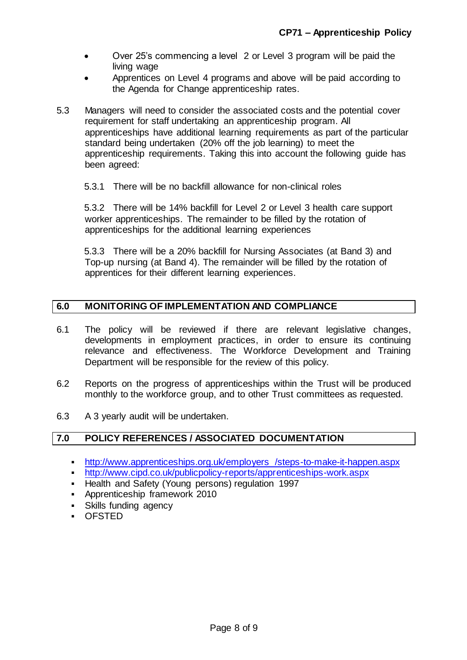- Over 25's commencing a level 2 or Level 3 program will be paid the living wage
- Apprentices on Level 4 programs and above will be paid according to the Agenda for Change apprenticeship rates.
- 5.3 Managers will need to consider the associated costs and the potential cover requirement for staff undertaking an apprenticeship program. All apprenticeships have additional learning requirements as part of the particular standard being undertaken (20% off the job learning) to meet the apprenticeship requirements. Taking this into account the following guide has been agreed:
	- 5.3.1 There will be no backfill allowance for non-clinical roles

5.3.2 There will be 14% backfill for Level 2 or Level 3 health care support worker apprenticeships. The remainder to be filled by the rotation of apprenticeships for the additional learning experiences

5.3.3 There will be a 20% backfill for Nursing Associates (at Band 3) and Top-up nursing (at Band 4). The remainder will be filled by the rotation of apprentices for their different learning experiences.

# <span id="page-7-0"></span>**6.0 MONITORING OF IMPLEMENTATION AND COMPLIANCE**

- 6.1 The policy will be reviewed if there are relevant legislative changes, developments in employment practices, in order to ensure its continuing relevance and effectiveness. The Workforce Development and Training Department will be responsible for the review of this policy.
- 6.2 Reports on the progress of apprenticeships within the Trust will be produced monthly to the workforce group, and to other Trust committees as requested.
- 6.3 A 3 yearly audit will be undertaken.

## <span id="page-7-1"></span>**7.0 POLICY REFERENCES / ASSOCIATED DOCUMENTATION**

- [http://www.apprenticeships.org.uk/employers /steps-to-make-it-happen.aspx](http://www.apprenticeships.org.uk/employers%20/steps-to-make-it-happen.aspx)
- <http://www.cipd.co.uk/publicpolicy-reports/apprenticeships-work.aspx>
- **-** Health and Safety (Young persons) regulation 1997
- Apprenticeship framework 2010
- **Skills funding agency**
- OFSTED